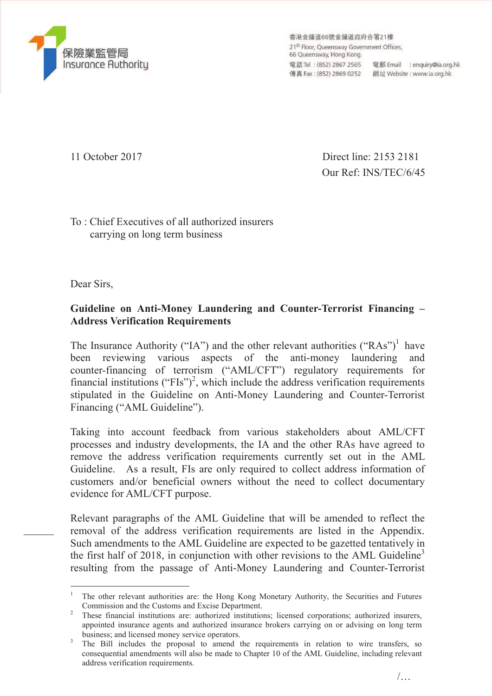

香港金鐘道66號金鐘道政府合署21樓 21<sup>st</sup> Floor, Oueensway Government Offices, 66 Queensway, Hong Kong. 電話 Tel: (852) 2867 2565 電郵 Email : enquiry@ia.org.hk 

11 October 2017 Direct line: 2153 2181 Our Ref: INS/TEC/6/45

To : Chief Executives of all authorized insurers carrying on long term business

Dear Sirs,

## **Guideline on Anti-Money Laundering and Counter-Terrorist Financing – Address Verification Requirements**

The Insurance Authority ("IA") and the other relevant authorities ("RAs")<sup>1</sup> have been reviewing various aspects of the anti-money laundering and counter-financing of terrorism ("AML/CFT") regulatory requirements for financial institutions ("FIs")<sup>2</sup>, which include the address verification requirements stipulated in the Guideline on Anti-Money Laundering and Counter-Terrorist Financing ("AML Guideline").

Taking into account feedback from various stakeholders about AML/CFT processes and industry developments, the IA and the other RAs have agreed to remove the address verification requirements currently set out in the AML Guideline. As a result, FIs are only required to collect address information of customers and/or beneficial owners without the need to collect documentary evidence for AML/CFT purpose.

Relevant paragraphs of the AML Guideline that will be amended to reflect the removal of the address verification requirements are listed in the Appendix. Such amendments to the AML Guideline are expected to be gazetted tentatively in the first half of 2018, in conjunction with other revisions to the AML Guideline<sup>3</sup> resulting from the passage of Anti-Money Laundering and Counter-Terrorist

 $\overline{a}$ 1 The other relevant authorities are: the Hong Kong Monetary Authority, the Securities and Futures Commission and the Customs and Excise Department.

<sup>&</sup>lt;sup>2</sup> These financial institutions are: authorized institutions; licensed corporations; authorized insurers, appointed insurance agents and authorized insurance brokers carrying on or advising on long term business; and licensed money service operators.

<sup>3</sup> The Bill includes the proposal to amend the requirements in relation to wire transfers, so consequential amendments will also be made to Chapter 10 of the AML Guideline, including relevant address verification requirements.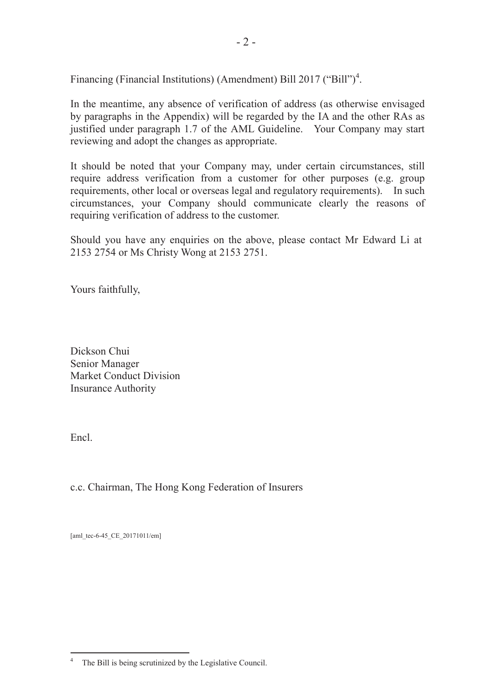Financing (Financial Institutions) (Amendment) Bill 2017 ("Bill")<sup>4</sup>.

In the meantime, any absence of verification of address (as otherwise envisaged by paragraphs in the Appendix) will be regarded by the IA and the other RAs as justified under paragraph 1.7 of the AML Guideline. Your Company may start reviewing and adopt the changes as appropriate.

It should be noted that your Company may, under certain circumstances, still require address verification from a customer for other purposes (e.g. group requirements, other local or overseas legal and regulatory requirements). In such circumstances, your Company should communicate clearly the reasons of requiring verification of address to the customer.

Should you have any enquiries on the above, please contact Mr Edward Li at 2153 2754 or Ms Christy Wong at 2153 2751.

Yours faithfully,

Dickson Chui Senior Manager Market Conduct Division Insurance Authority

Encl.

c.c. Chairman, The Hong Kong Federation of Insurers

[aml\_tec-6-45\_CE\_20171011/em]

 $\frac{1}{4}$ The Bill is being scrutinized by the Legislative Council.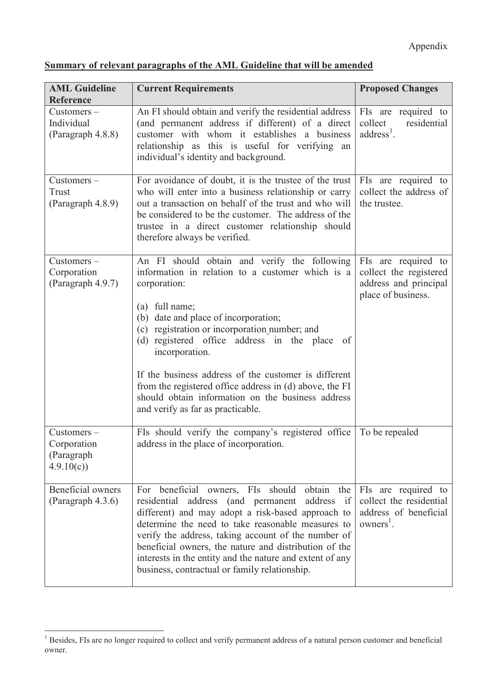## **Summary of relevant paragraphs of the AML Guideline that will be amended**

| <b>AML Guideline</b><br><b>Reference</b>                | <b>Current Requirements</b>                                                                                                                                                                                                                                                                                                                                                                                                                                                                                    | <b>Proposed Changes</b>                                                                      |
|---------------------------------------------------------|----------------------------------------------------------------------------------------------------------------------------------------------------------------------------------------------------------------------------------------------------------------------------------------------------------------------------------------------------------------------------------------------------------------------------------------------------------------------------------------------------------------|----------------------------------------------------------------------------------------------|
| Customers-<br>Individual<br>(Paragraph 4.8.8)           | An FI should obtain and verify the residential address<br>(and permanent address if different) of a direct<br>customer with whom it establishes a business<br>relationship as this is useful for verifying an<br>individual's identity and background.                                                                                                                                                                                                                                                         | FIs are required to<br>collect<br>residential<br>$address1$ .                                |
| Customers-<br>Trust<br>(Paragraph 4.8.9)                | For avoidance of doubt, it is the trustee of the trust<br>who will enter into a business relationship or carry<br>out a transaction on behalf of the trust and who will<br>be considered to be the customer. The address of the<br>trustee in a direct customer relationship should<br>therefore always be verified.                                                                                                                                                                                           | FIs are required to<br>collect the address of<br>the trustee.                                |
| Customers-<br>Corporation<br>(Paragraph 4.9.7)          | An FI should obtain and verify the following<br>information in relation to a customer which is a<br>corporation:<br>(a) full name;<br>(b) date and place of incorporation;<br>(c) registration or incorporation number; and<br>(d) registered office address in the place<br>0f<br>incorporation.<br>If the business address of the customer is different<br>from the registered office address in (d) above, the FI<br>should obtain information on the business address<br>and verify as far as practicable. | FIs are required to<br>collect the registered<br>address and principal<br>place of business. |
| $Customers -$<br>Corporation<br>(Paragraph<br>4.9.10(c) | FIs should verify the company's registered office<br>address in the place of incorporation.                                                                                                                                                                                                                                                                                                                                                                                                                    | To be repealed                                                                               |
| Beneficial owners<br>$($ Paragraph 4.3.6 $)$            | beneficial owners, FIs<br>should<br>obtain<br>For<br>the  <br>address (and permanent<br>address<br>if<br>residential<br>different) and may adopt a risk-based approach to<br>determine the need to take reasonable measures to<br>verify the address, taking account of the number of<br>beneficial owners, the nature and distribution of the<br>interests in the entity and the nature and extent of any<br>business, contractual or family relationship.                                                    | FIs are required to<br>collect the residential<br>address of beneficial<br>$owners1$ .       |

<sup>&</sup>lt;sup>1</sup> Besides, FIs are no longer required to collect and verify permanent address of a natural person customer and beneficial owner.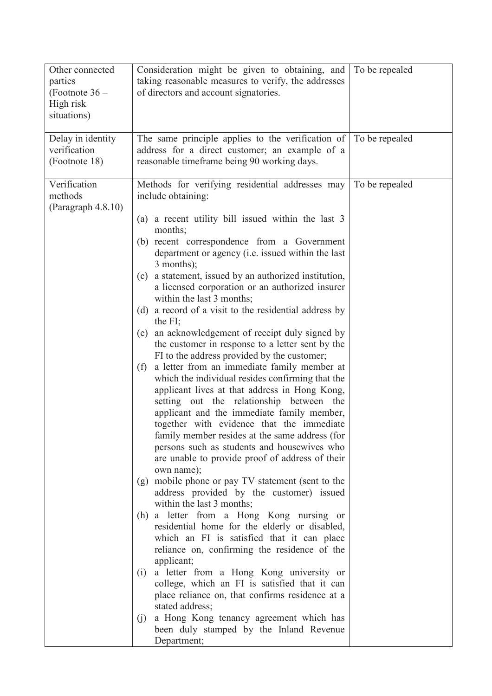| Other connected<br>parties<br>(Footnote $36-$<br>High risk<br>situations) | Consideration might be given to obtaining, and<br>taking reasonable measures to verify, the addresses<br>of directors and account signatories.                                                                                                                                                                                                                                                                                                                                                                                                                                                                                                                                                                                                                                                                                                                                                                                                                                                                                                                                                                                                                                                                                                                                                                                                                                                                                                                                                                                                                                                                                                                                                                                                   | To be repealed |
|---------------------------------------------------------------------------|--------------------------------------------------------------------------------------------------------------------------------------------------------------------------------------------------------------------------------------------------------------------------------------------------------------------------------------------------------------------------------------------------------------------------------------------------------------------------------------------------------------------------------------------------------------------------------------------------------------------------------------------------------------------------------------------------------------------------------------------------------------------------------------------------------------------------------------------------------------------------------------------------------------------------------------------------------------------------------------------------------------------------------------------------------------------------------------------------------------------------------------------------------------------------------------------------------------------------------------------------------------------------------------------------------------------------------------------------------------------------------------------------------------------------------------------------------------------------------------------------------------------------------------------------------------------------------------------------------------------------------------------------------------------------------------------------------------------------------------------------|----------------|
| Delay in identity<br>verification<br>(Footnote 18)                        | The same principle applies to the verification of To be repealed<br>address for a direct customer; an example of a<br>reasonable timeframe being 90 working days.                                                                                                                                                                                                                                                                                                                                                                                                                                                                                                                                                                                                                                                                                                                                                                                                                                                                                                                                                                                                                                                                                                                                                                                                                                                                                                                                                                                                                                                                                                                                                                                |                |
| Verification<br>methods<br>(Paragraph 4.8.10)                             | Methods for verifying residential addresses may<br>include obtaining:<br>a recent utility bill issued within the last 3<br>(a)<br>months;<br>(b) recent correspondence from a Government<br>department or agency (i.e. issued within the last<br>$3$ months);<br>a statement, issued by an authorized institution,<br>(c)<br>a licensed corporation or an authorized insurer<br>within the last 3 months;<br>a record of a visit to the residential address by<br>(d)<br>the $FI$ ;<br>an acknowledgement of receipt duly signed by<br>(e)<br>the customer in response to a letter sent by the<br>FI to the address provided by the customer;<br>a letter from an immediate family member at<br>(f)<br>which the individual resides confirming that the<br>applicant lives at that address in Hong Kong,<br>setting out the relationship between<br>the<br>applicant and the immediate family member,<br>together with evidence that the immediate<br>family member resides at the same address (for<br>persons such as students and housewives who<br>are unable to provide proof of address of their<br>own name);<br>(g) mobile phone or pay TV statement (sent to the<br>address provided by the customer) issued<br>within the last 3 months;<br>(h) a letter from a Hong Kong nursing or<br>residential home for the elderly or disabled,<br>which an FI is satisfied that it can place<br>reliance on, confirming the residence of the<br>applicant;<br>a letter from a Hong Kong university or<br>(1)<br>college, which an FI is satisfied that it can<br>place reliance on, that confirms residence at a<br>stated address;<br>a Hong Kong tenancy agreement which has<br>(1)<br>been duly stamped by the Inland Revenue<br>Department; | To be repealed |